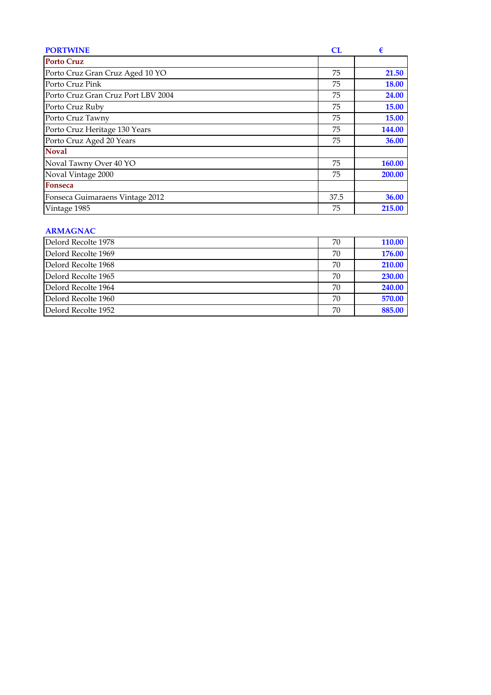| <b>PORTWINE</b>                    | <b>CL</b> | €            |
|------------------------------------|-----------|--------------|
| <b>Porto Cruz</b>                  |           |              |
| Porto Cruz Gran Cruz Aged 10 YO    | 75        | 21.50        |
| Porto Cruz Pink                    | 75        | <b>18.00</b> |
| Porto Cruz Gran Cruz Port LBV 2004 | 75        | 24.00        |
| Porto Cruz Ruby                    | 75        | 15.00        |
| Porto Cruz Tawny                   | 75        | 15.00        |
| Porto Cruz Heritage 130 Years      | 75        | 144.00       |
| Porto Cruz Aged 20 Years           | 75        | 36.00        |
| <b>Noval</b>                       |           |              |
| Noval Tawny Over 40 YO             | 75        | 160.00       |
| Noval Vintage 2000                 | 75        | 200.00       |
| <b>Fonseca</b>                     |           |              |
| Fonseca Guimaraens Vintage 2012    | 37.5      | 36.00        |
| Vintage 1985                       | 75        | 215.00       |

# **ARMAGNAC**

| Delord Recolte 1978 | 70 | <b>110.00</b> |
|---------------------|----|---------------|
| Delord Recolte 1969 | 70 | 176.00        |
| Delord Recolte 1968 | 70 | 210.00        |
| Delord Recolte 1965 | 70 | 230.00        |
| Delord Recolte 1964 | 70 | 240.00        |
| Delord Recolte 1960 | 70 | 570.00        |
| Delord Recolte 1952 | 70 | 885.00        |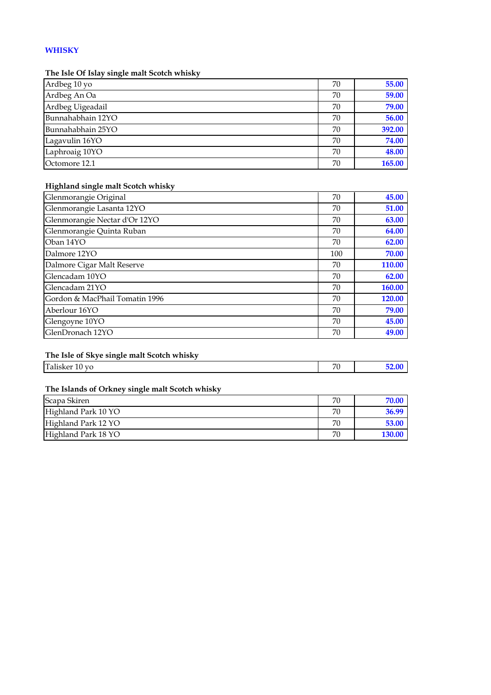# **WHISKY**

### **The Isle Of Islay single malt Scotch whisky**

| Ardbeg 10 yo      | 70 | 55.00  |
|-------------------|----|--------|
| Ardbeg An Oa      | 70 | 59.00  |
| Ardbeg Uigeadail  | 70 | 79.00  |
| Bunnahabhain 12YO | 70 | 56.00  |
| Bunnahabhain 25YO | 70 | 392.00 |
| Lagavulin 16YO    | 70 | 74.00  |
| Laphroaig 10YO    | 70 | 48.00  |
| Octomore 12.1     | 70 | 165.00 |

### **Highland single malt Scotch whisky**

| Glenmorangie Original          | 70  | 45.00  |
|--------------------------------|-----|--------|
| Glenmorangie Lasanta 12YO      | 70  | 51.00  |
| Glenmorangie Nectar d'Or 12YO  | 70  | 63.00  |
| Glenmorangie Quinta Ruban      | 70  | 64.00  |
| Oban 14YO                      | 70  | 62.00  |
| Dalmore 12YO                   | 100 | 70.00  |
| Dalmore Cigar Malt Reserve     | 70  | 110.00 |
| Glencadam 10YO                 | 70  | 62.00  |
| Glencadam 21YO                 | 70  | 160.00 |
| Gordon & MacPhail Tomatin 1996 | 70  | 120.00 |
| Aberlour 16YO                  | 70  | 79.00  |
| Glengoyne 10YO                 | 70  | 45.00  |
| GlenDronach 12YO               | 70  | 49.00  |

### **The Isle of Skye single malt Scotch whisky**

| $\sim$<br>. .<br>≀'or<br>) vo<br>- Falisker<br>πU | $\neg$ | $\sim$ $\sim$ |
|---------------------------------------------------|--------|---------------|
|                                                   |        |               |

### **The Islands of Orkney single malt Scotch whisky**

| Scapa Skiren        | 70 | 70.06 |
|---------------------|----|-------|
| Highland Park 10 YO | 70 | 36.99 |
| Highland Park 12 YO | 70 | 53.00 |
| Highland Park 18 YO | 70 |       |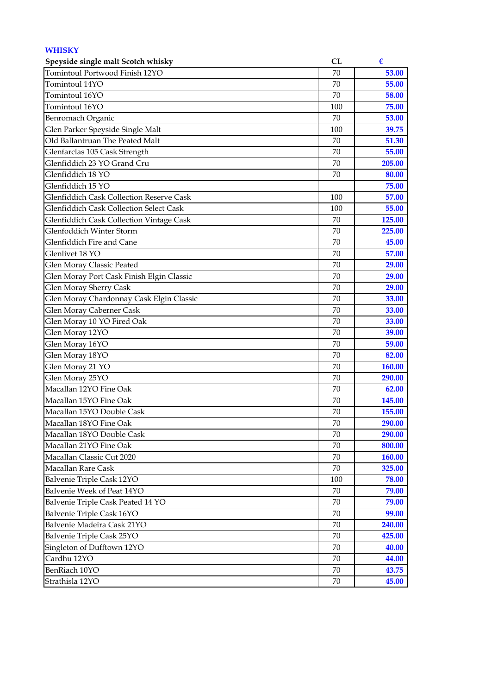| <b>WHISKY</b>                                  |     |               |
|------------------------------------------------|-----|---------------|
| Speyside single malt Scotch whisky             | CL  | €             |
| Tomintoul Portwood Finish 12YO                 | 70  | 53.00         |
| Tomintoul 14YO                                 | 70  | 55.00         |
| Tomintoul 16YO                                 | 70  | 58.00         |
| Tomintoul 16YO                                 | 100 | 75.00         |
| Benromach Organic                              | 70  | 53.00         |
| Glen Parker Speyside Single Malt               | 100 | 39.75         |
| Old Ballantruan The Peated Malt                | 70  | 51.30         |
| Glenfarclas 105 Cask Strength                  | 70  | 55.00         |
| Glenfiddich 23 YO Grand Cru                    | 70  | 205.00        |
| Glenfiddich 18 YO                              | 70  | 80.00         |
| Glenfiddich 15 YO                              |     | 75.00         |
| Glenfiddich Cask Collection Reserve Cask       | 100 | 57.00         |
| <b>Glenfiddich Cask Collection Select Cask</b> | 100 | 55.00         |
| Glenfiddich Cask Collection Vintage Cask       | 70  | 125.00        |
| Glenfoddich Winter Storm                       | 70  | 225.00        |
| Glenfiddich Fire and Cane                      | 70  | 45.00         |
| Glenlivet 18 YO                                | 70  | 57.00         |
| Glen Moray Classic Peated                      | 70  | 29.00         |
| Glen Moray Port Cask Finish Elgin Classic      | 70  | 29.00         |
| Glen Moray Sherry Cask                         | 70  | 29.00         |
| Glen Moray Chardonnay Cask Elgin Classic       | 70  | 33.00         |
| Glen Moray Caberner Cask                       | 70  | 33.00         |
| Glen Moray 10 YO Fired Oak                     | 70  | 33.00         |
| Glen Moray 12YO                                | 70  | 39.00         |
| Glen Moray 16YO                                | 70  | 59.00         |
| Glen Moray 18YO                                | 70  | 82.00         |
| Glen Moray 21 YO                               | 70  | 160.00        |
| Glen Moray 25YO                                | 70  | <b>290.00</b> |
| Macallan 12YO Fine Oak                         | 70  | 62.00         |
| Macallan 15YO Fine Oak                         | 70  | 145.00        |
| Macallan 15YO Double Cask                      | 70  | 155.00        |
| Macallan 18YO Fine Oak                         | 70  | 290.00        |
| Macallan 18YO Double Cask                      | 70  | 290.00        |
| Macallan 21YO Fine Oak                         | 70  | 800.00        |
| Macallan Classic Cut 2020                      | 70  | <b>160.00</b> |
| Macallan Rare Cask                             | 70  | 325.00        |
| Balvenie Triple Cask 12YO                      | 100 | 78.00         |
| Balvenie Week of Peat 14YO                     | 70  | 79.00         |
| Balvenie Triple Cask Peated 14 YO              | 70  | 79.00         |
| Balvenie Triple Cask 16YO                      | 70  | 99.00         |
| Balvenie Madeira Cask 21YO                     | 70  | 240.00        |
| Balvenie Triple Cask 25YO                      | 70  | 425.00        |
| Singleton of Dufftown 12YO                     | 70  | 40.00         |
| Cardhu 12YO                                    | 70  | 44.00         |
| BenRiach 10YO                                  | 70  | 43.75         |
| Strathisla 12YO                                |     | 45.00         |
|                                                | 70  |               |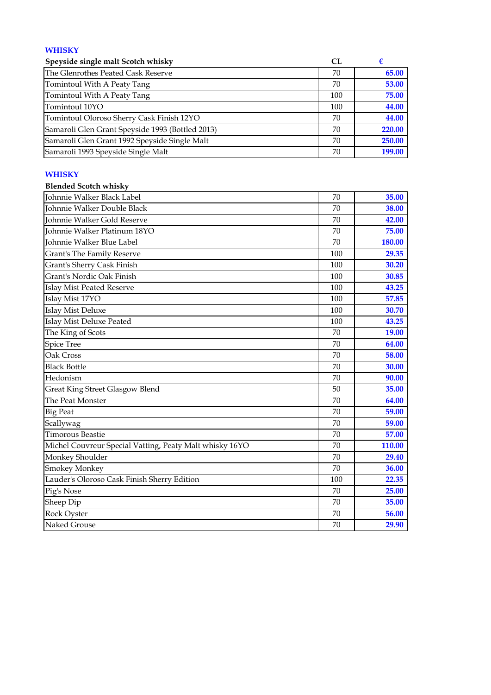# **WHISKY**

| Speyside single malt Scotch whisky               | CL  |        |
|--------------------------------------------------|-----|--------|
| The Glenrothes Peated Cask Reserve               | 70  | 65.00  |
| Tomintoul With A Peaty Tang                      | 70  | 53.00  |
| Tomintoul With A Peaty Tang                      | 100 | 75.00  |
| Tomintoul 10YO                                   | 100 | 44.00  |
| Tomintoul Oloroso Sherry Cask Finish 12YO        | 70  | 44.00  |
| Samaroli Glen Grant Speyside 1993 (Bottled 2013) | 70  | 220.00 |
| Samaroli Glen Grant 1992 Speyside Single Malt    | 70  | 250.00 |
| Samaroli 1993 Speyside Single Malt               | 70  | 199.00 |

#### **WHISKY**

| <b>Blended Scotch whisky</b>                            |     |        |
|---------------------------------------------------------|-----|--------|
| Johnnie Walker Black Label                              | 70  | 35.00  |
| Johnnie Walker Double Black                             | 70  | 38.00  |
| Johnnie Walker Gold Reserve                             | 70  | 42.00  |
| Johnnie Walker Platinum 18YO                            | 70  | 75.00  |
| Johnnie Walker Blue Label                               | 70  | 180.00 |
| Grant's The Family Reserve                              | 100 | 29.35  |
| Grant's Sherry Cask Finish                              | 100 | 30.20  |
| Grant's Nordic Oak Finish                               | 100 | 30.85  |
| <b>Islay Mist Peated Reserve</b>                        | 100 | 43.25  |
| Islay Mist 17YO                                         | 100 | 57.85  |
| <b>Islay Mist Deluxe</b>                                | 100 | 30.70  |
| <b>Islay Mist Deluxe Peated</b>                         | 100 | 43.25  |
| The King of Scots                                       | 70  | 19.00  |
| <b>Spice Tree</b>                                       | 70  | 64.00  |
| Oak Cross                                               | 70  | 58.00  |
| <b>Black Bottle</b>                                     | 70  | 30.00  |
| Hedonism                                                | 70  | 90.00  |
| Great King Street Glasgow Blend                         | 50  | 35.00  |
| The Peat Monster                                        | 70  | 64.00  |
| <b>Big Peat</b>                                         | 70  | 59.00  |
| Scallywag                                               | 70  | 59.00  |
| <b>Timorous Beastie</b>                                 | 70  | 57.00  |
| Michel Couvreur Special Vatting, Peaty Malt whisky 16YO | 70  | 110.00 |
| Monkey Shoulder                                         | 70  | 29.40  |
| <b>Smokey Monkey</b>                                    | 70  | 36.00  |
| Lauder's Oloroso Cask Finish Sherry Edition             | 100 | 22.35  |
| Pig's Nose                                              | 70  | 25.00  |
| Sheep Dip                                               | 70  | 35.00  |
| Rock Oyster                                             | 70  | 56.00  |
| Naked Grouse                                            | 70  | 29.90  |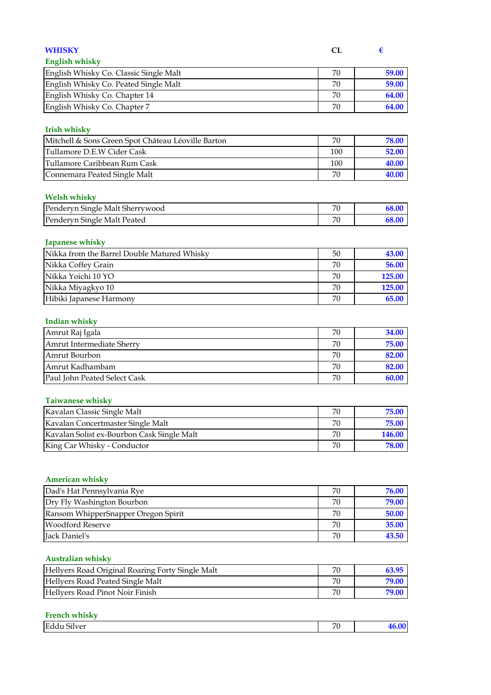| <b>WHISKY</b>                                          | CL     | €      |
|--------------------------------------------------------|--------|--------|
| <b>English whisky</b>                                  |        |        |
| English Whisky Co. Classic Single Malt                 | 70     | 59.00  |
| English Whisky Co. Peated Single Malt                  | 70     | 59.00  |
| English Whisky Co. Chapter 14                          | 70     | 64.00  |
| English Whisky Co. Chapter 7                           | 70     | 64.00  |
|                                                        |        |        |
| <b>Irish whisky</b>                                    |        |        |
| Mitchell & Sons Green Spot Château Léoville Barton     | 70     | 78.00  |
| Tullamore D.E.W Cider Cask                             | 100    | 52.00  |
| Tullamore Caribbean Rum Cask                           | 100    | 40.00  |
| Connemara Peated Single Malt                           | 70     | 40.00  |
|                                                        |        |        |
| <b>Welsh whisky</b><br>Penderyn Single Malt Sherrywood | 70     | 68.00  |
| Penderyn Single Malt Peated                            | 70     | 68.00  |
|                                                        |        |        |
| Japanese whisky                                        |        |        |
| Nikka from the Barrel Double Matured Whisky            | 50     | 43.00  |
| Nikka Coffey Grain                                     | 70     | 56.00  |
| Nikka Yoichi 10 YO                                     | 70     | 125.00 |
| Nikka Miyagkyo 10                                      | 70     | 125.00 |
| Hibiki Japanese Harmony                                | 70     | 65.00  |
|                                                        |        |        |
| <b>Indian whisky</b>                                   |        |        |
| Amrut Raj Igala                                        | 70     | 34.00  |
| Amrut Intermediate Sherry                              | 70     | 75.00  |
| Amrut Bourbon                                          | 70     | 82.00  |
| Amrut Kadhambam                                        | 70     | 82.00  |
| Paul John Peated Select Cask                           | 70     | 60.00  |
|                                                        |        |        |
| <b>Taiwanese whisky</b>                                |        |        |
| Kavalan Classic Single Malt                            | $70\,$ | 75.00  |
| Kavalan Concertmaster Single Malt                      | 70     | 75.00  |
| Kavalan Solist ex-Bourbon Cask Single Malt             | 70     | 146.00 |
| King Car Whisky - Conductor                            | 70     | 78.00  |
|                                                        |        |        |
| <b>American whisky</b>                                 |        |        |
| Dad's Hat Pennsylvania Rye                             | 70     | 76.00  |
| Dry Fly Washington Bourbon                             | 70     | 79.00  |
| Ransom WhipperSnapper Oregon Spirit                    | 70     | 50.00  |
| Woodford Reserve                                       | 70     | 35.00  |
| Jack Daniel's                                          | 70     | 43.50  |
|                                                        |        |        |
| <b>Australian whisky</b>                               |        |        |
| Hellyers Road Original Roaring Forty Single Malt       | 70     | 63.95  |
| Hellyers Road Peated Single Malt                       | 70     | 79.00  |
| Hellyers Road Pinot Noir Finish                        | 70     | 79.00  |

# **French whisky**

| $\sim$<br><b>Edc</b><br>Silver<br>__ | $\neg$<br>◡ |  |
|--------------------------------------|-------------|--|
|                                      |             |  |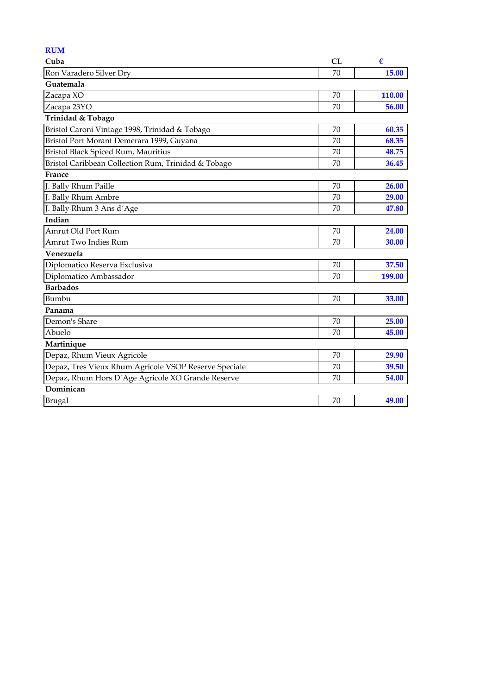| <b>RUM</b>                                            |    |        |
|-------------------------------------------------------|----|--------|
| Cuba                                                  | CL | €      |
| Ron Varadero Silver Dry                               | 70 | 15.00  |
| Guatemala                                             |    |        |
| Zacapa XO                                             | 70 | 110.00 |
| Zacapa 23YO                                           | 70 | 56.00  |
| Trinidad & Tobago                                     |    |        |
| Bristol Caroni Vintage 1998, Trinidad & Tobago        | 70 | 60.35  |
| Bristol Port Morant Demerara 1999, Guyana             | 70 | 68.35  |
| Bristol Black Spiced Rum, Mauritius                   | 70 | 48.75  |
| Bristol Caribbean Collection Rum, Trinidad & Tobago   | 70 | 36.45  |
| France                                                |    |        |
| J. Bally Rhum Paille                                  | 70 | 26.00  |
| J. Bally Rhum Ambre                                   | 70 | 29.00  |
| J. Bally Rhum 3 Ans d'Age                             | 70 | 47.80  |
| Indian                                                |    |        |
| Amrut Old Port Rum                                    | 70 | 24.00  |
| Amrut Two Indies Rum                                  | 70 | 30.00  |
| Venezuela                                             |    |        |
| Diplomatico Reserva Exclusiva                         | 70 | 37.50  |
| Diplomatico Ambassador                                | 70 | 199.00 |
| <b>Barbados</b>                                       |    |        |
| Bumbu                                                 | 70 | 33.00  |
| Panama                                                |    |        |
| Demon's Share                                         | 70 | 25.00  |
| Abuelo                                                | 70 | 45.00  |
| Martinique                                            |    |        |
| Depaz, Rhum Vieux Agricole                            | 70 | 29.90  |
| Depaz, Tres Vieux Rhum Agricole VSOP Reserve Speciale | 70 | 39.50  |
| Depaz, Rhum Hors D'Age Agricole XO Grande Reserve     | 70 | 54.00  |
| Dominican                                             |    |        |
| Brugal                                                | 70 | 49.00  |